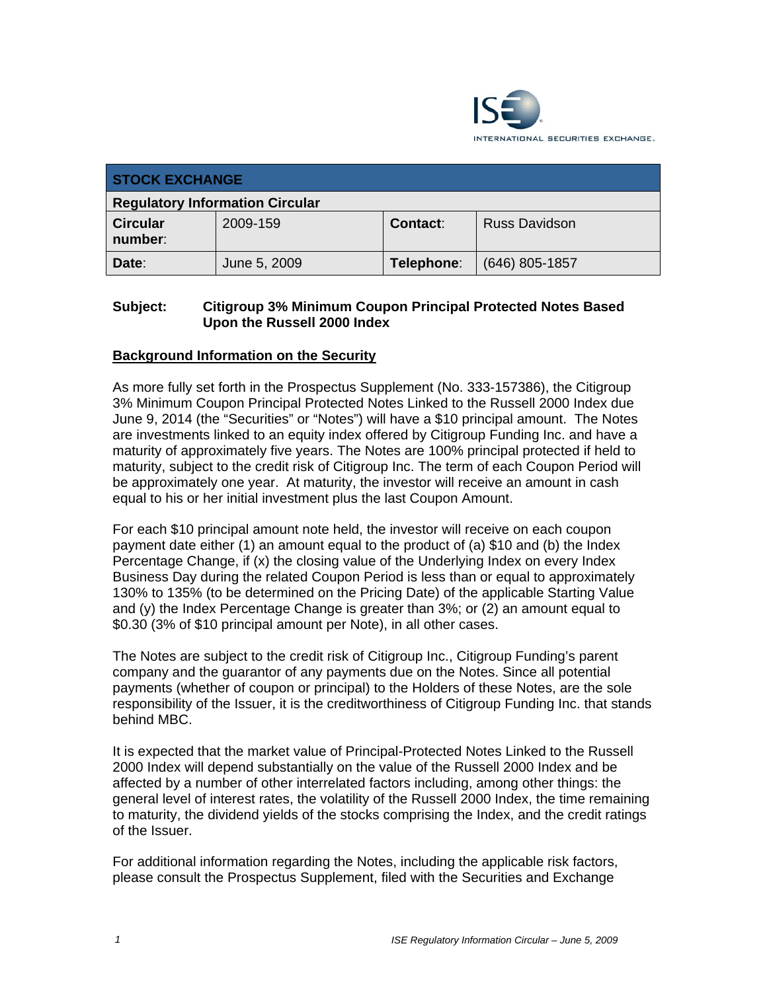

| <b>STOCK EXCHANGE</b>                  |              |            |                      |
|----------------------------------------|--------------|------------|----------------------|
| <b>Regulatory Information Circular</b> |              |            |                      |
| <b>Circular</b><br>number:             | 2009-159     | Contact:   | <b>Russ Davidson</b> |
| Date:                                  | June 5, 2009 | Telephone: | $(646)$ 805-1857     |

# **Subject: Citigroup 3% Minimum Coupon Principal Protected Notes Based Upon the Russell 2000 Index**

# **Background Information on the Security**

As more fully set forth in the Prospectus Supplement (No. 333-157386), the Citigroup 3% Minimum Coupon Principal Protected Notes Linked to the Russell 2000 Index due June 9, 2014 (the "Securities" or "Notes") will have a \$10 principal amount. The Notes are investments linked to an equity index offered by Citigroup Funding Inc. and have a maturity of approximately five years. The Notes are 100% principal protected if held to maturity, subject to the credit risk of Citigroup Inc. The term of each Coupon Period will be approximately one year. At maturity, the investor will receive an amount in cash equal to his or her initial investment plus the last Coupon Amount.

For each \$10 principal amount note held, the investor will receive on each coupon payment date either (1) an amount equal to the product of (a) \$10 and (b) the Index Percentage Change, if (x) the closing value of the Underlying Index on every Index Business Day during the related Coupon Period is less than or equal to approximately 130% to 135% (to be determined on the Pricing Date) of the applicable Starting Value and (y) the Index Percentage Change is greater than  $3\%$ ; or (2) an amount equal to \$0.30 (3% of \$10 principal amount per Note), in all other cases.

The Notes are subject to the credit risk of Citigroup Inc., Citigroup Funding's parent company and the guarantor of any payments due on the Notes. Since all potential payments (whether of coupon or principal) to the Holders of these Notes, are the sole responsibility of the Issuer, it is the creditworthiness of Citigroup Funding Inc. that stands behind MBC.

It is expected that the market value of Principal-Protected Notes Linked to the Russell 2000 Index will depend substantially on the value of the Russell 2000 Index and be affected by a number of other interrelated factors including, among other things: the general level of interest rates, the volatility of the Russell 2000 Index, the time remaining to maturity, the dividend yields of the stocks comprising the Index, and the credit ratings of the Issuer.

For additional information regarding the Notes, including the applicable risk factors, please consult the Prospectus Supplement, filed with the Securities and Exchange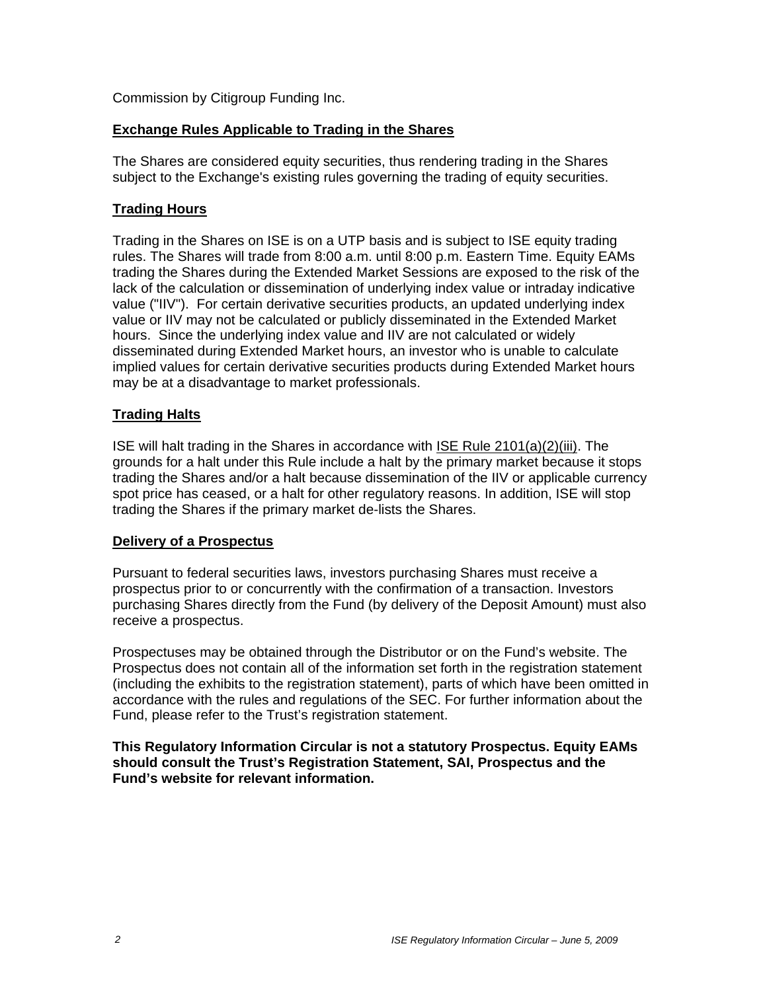Commission by Citigroup Funding Inc.

# **Exchange Rules Applicable to Trading in the Shares**

The Shares are considered equity securities, thus rendering trading in the Shares subject to the Exchange's existing rules governing the trading of equity securities.

## **Trading Hours**

Trading in the Shares on ISE is on a UTP basis and is subject to ISE equity trading rules. The Shares will trade from 8:00 a.m. until 8:00 p.m. Eastern Time. Equity EAMs trading the Shares during the Extended Market Sessions are exposed to the risk of the lack of the calculation or dissemination of underlying index value or intraday indicative value ("IIV"). For certain derivative securities products, an updated underlying index value or IIV may not be calculated or publicly disseminated in the Extended Market hours. Since the underlying index value and IIV are not calculated or widely disseminated during Extended Market hours, an investor who is unable to calculate implied values for certain derivative securities products during Extended Market hours may be at a disadvantage to market professionals.

### **Trading Halts**

ISE will halt trading in the Shares in accordance with ISE Rule 2101(a)(2)(iii). The grounds for a halt under this Rule include a halt by the primary market because it stops trading the Shares and/or a halt because dissemination of the IIV or applicable currency spot price has ceased, or a halt for other regulatory reasons. In addition, ISE will stop trading the Shares if the primary market de-lists the Shares.

### **Delivery of a Prospectus**

Pursuant to federal securities laws, investors purchasing Shares must receive a prospectus prior to or concurrently with the confirmation of a transaction. Investors purchasing Shares directly from the Fund (by delivery of the Deposit Amount) must also receive a prospectus.

Prospectuses may be obtained through the Distributor or on the Fund's website. The Prospectus does not contain all of the information set forth in the registration statement (including the exhibits to the registration statement), parts of which have been omitted in accordance with the rules and regulations of the SEC. For further information about the Fund, please refer to the Trust's registration statement.

**This Regulatory Information Circular is not a statutory Prospectus. Equity EAMs should consult the Trust's Registration Statement, SAI, Prospectus and the Fund's website for relevant information.**